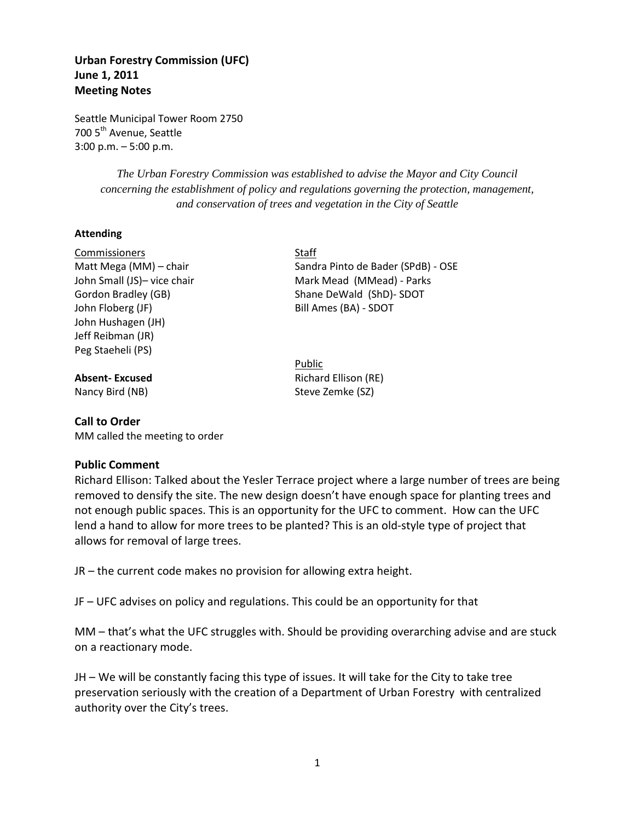# **Urban Forestry Commission (UFC) June 1, 2011 Meeting Notes**

Seattle Municipal Tower Room 2750 700 5<sup>th</sup> Avenue, Seattle 3:00 p.m. – 5:00 p.m.

> *The Urban Forestry Commission was established to advise the Mayor and City Council concerning the establishment of policy and regulations governing the protection, management, and conservation of trees and vegetation in the City of Seattle*

#### **Attending**

Commissioners Staff John Floberg (JF) Bill Ames (BA) - SDOT John Hushagen (JH) Jeff Reibman (JR) Peg Staeheli (PS)

## **Call to Order**

MM called the meeting to order

## **Public Comment**

Richard Ellison: Talked about the Yesler Terrace project where a large number of trees are being removed to densify the site. The new design doesn't have enough space for planting trees and not enough public spaces. This is an opportunity for the UFC to comment. How can the UFC lend a hand to allow for more trees to be planted? This is an old-style type of project that allows for removal of large trees.

JR – the current code makes no provision for allowing extra height.

JF – UFC advises on policy and regulations. This could be an opportunity for that

MM – that's what the UFC struggles with. Should be providing overarching advise and are stuck on a reactionary mode.

JH – We will be constantly facing this type of issues. It will take for the City to take tree preservation seriously with the creation of a Department of Urban Forestry with centralized authority over the City's trees.

Matt Mega (MM) – chair Sandra Pinto de Bader (SPdB) - OSE John Small (JS)- vice chair Mark Mead (MMead) - Parks Gordon Bradley (GB) Shane DeWald (ShD)- SDOT

Public **Absent-Excused** Richard Ellison (RE) Nancy Bird (NB) Steve Zemke (SZ)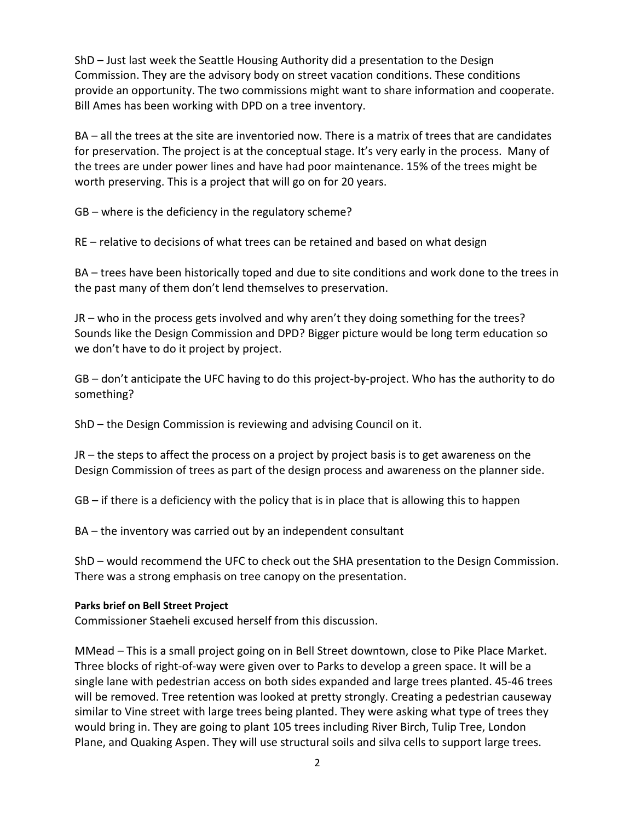ShD – Just last week the Seattle Housing Authority did a presentation to the Design Commission. They are the advisory body on street vacation conditions. These conditions provide an opportunity. The two commissions might want to share information and cooperate. Bill Ames has been working with DPD on a tree inventory.

BA – all the trees at the site are inventoried now. There is a matrix of trees that are candidates for preservation. The project is at the conceptual stage. It's very early in the process. Many of the trees are under power lines and have had poor maintenance. 15% of the trees might be worth preserving. This is a project that will go on for 20 years.

GB – where is the deficiency in the regulatory scheme?

RE – relative to decisions of what trees can be retained and based on what design

BA – trees have been historically toped and due to site conditions and work done to the trees in the past many of them don't lend themselves to preservation.

JR – who in the process gets involved and why aren't they doing something for the trees? Sounds like the Design Commission and DPD? Bigger picture would be long term education so we don't have to do it project by project.

GB – don't anticipate the UFC having to do this project-by-project. Who has the authority to do something?

ShD – the Design Commission is reviewing and advising Council on it.

JR – the steps to affect the process on a project by project basis is to get awareness on the Design Commission of trees as part of the design process and awareness on the planner side.

GB – if there is a deficiency with the policy that is in place that is allowing this to happen

BA – the inventory was carried out by an independent consultant

ShD – would recommend the UFC to check out the SHA presentation to the Design Commission. There was a strong emphasis on tree canopy on the presentation.

## **Parks brief on Bell Street Project**

Commissioner Staeheli excused herself from this discussion.

MMead – This is a small project going on in Bell Street downtown, close to Pike Place Market. Three blocks of right-of-way were given over to Parks to develop a green space. It will be a single lane with pedestrian access on both sides expanded and large trees planted. 45-46 trees will be removed. Tree retention was looked at pretty strongly. Creating a pedestrian causeway similar to Vine street with large trees being planted. They were asking what type of trees they would bring in. They are going to plant 105 trees including River Birch, Tulip Tree, London Plane, and Quaking Aspen. They will use structural soils and silva cells to support large trees.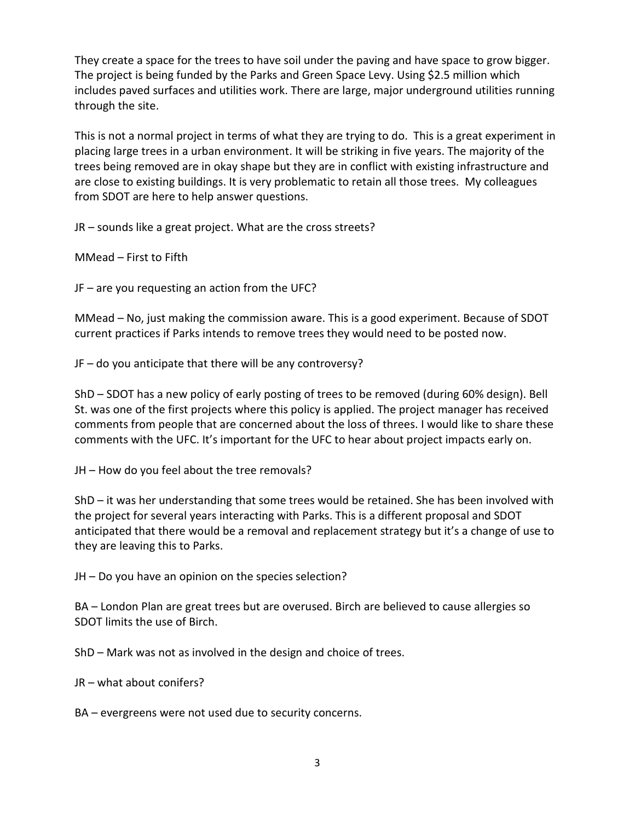They create a space for the trees to have soil under the paving and have space to grow bigger. The project is being funded by the Parks and Green Space Levy. Using \$2.5 million which includes paved surfaces and utilities work. There are large, major underground utilities running through the site.

This is not a normal project in terms of what they are trying to do. This is a great experiment in placing large trees in a urban environment. It will be striking in five years. The majority of the trees being removed are in okay shape but they are in conflict with existing infrastructure and are close to existing buildings. It is very problematic to retain all those trees. My colleagues from SDOT are here to help answer questions.

JR – sounds like a great project. What are the cross streets?

MMead – First to Fifth

JF – are you requesting an action from the UFC?

MMead – No, just making the commission aware. This is a good experiment. Because of SDOT current practices if Parks intends to remove trees they would need to be posted now.

JF – do you anticipate that there will be any controversy?

ShD – SDOT has a new policy of early posting of trees to be removed (during 60% design). Bell St. was one of the first projects where this policy is applied. The project manager has received comments from people that are concerned about the loss of threes. I would like to share these comments with the UFC. It's important for the UFC to hear about project impacts early on.

JH – How do you feel about the tree removals?

ShD – it was her understanding that some trees would be retained. She has been involved with the project for several years interacting with Parks. This is a different proposal and SDOT anticipated that there would be a removal and replacement strategy but it's a change of use to they are leaving this to Parks.

JH – Do you have an opinion on the species selection?

BA – London Plan are great trees but are overused. Birch are believed to cause allergies so SDOT limits the use of Birch.

ShD – Mark was not as involved in the design and choice of trees.

JR – what about conifers?

BA – evergreens were not used due to security concerns.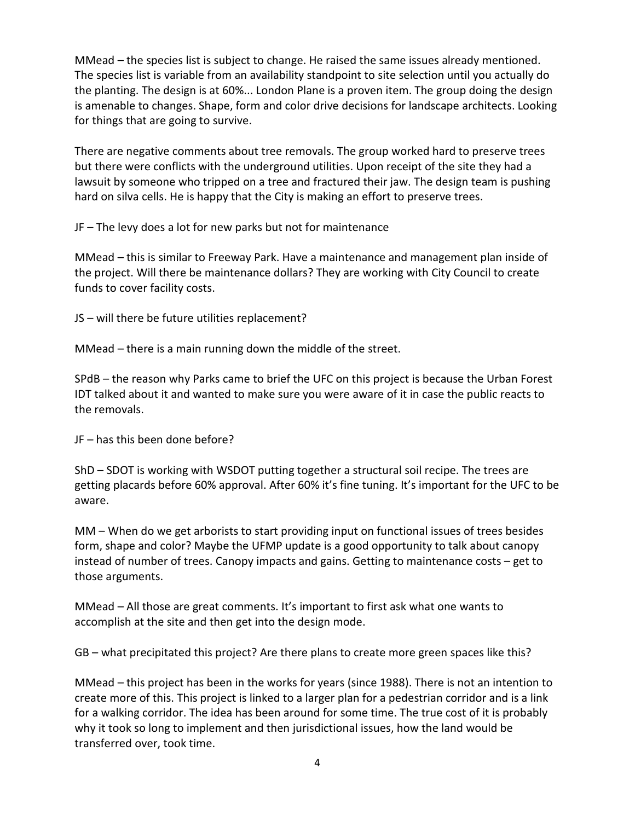MMead – the species list is subject to change. He raised the same issues already mentioned. The species list is variable from an availability standpoint to site selection until you actually do the planting. The design is at 60%... London Plane is a proven item. The group doing the design is amenable to changes. Shape, form and color drive decisions for landscape architects. Looking for things that are going to survive.

There are negative comments about tree removals. The group worked hard to preserve trees but there were conflicts with the underground utilities. Upon receipt of the site they had a lawsuit by someone who tripped on a tree and fractured their jaw. The design team is pushing hard on silva cells. He is happy that the City is making an effort to preserve trees.

JF – The levy does a lot for new parks but not for maintenance

MMead – this is similar to Freeway Park. Have a maintenance and management plan inside of the project. Will there be maintenance dollars? They are working with City Council to create funds to cover facility costs.

JS – will there be future utilities replacement?

MMead – there is a main running down the middle of the street.

SPdB – the reason why Parks came to brief the UFC on this project is because the Urban Forest IDT talked about it and wanted to make sure you were aware of it in case the public reacts to the removals.

JF – has this been done before?

ShD – SDOT is working with WSDOT putting together a structural soil recipe. The trees are getting placards before 60% approval. After 60% it's fine tuning. It's important for the UFC to be aware.

MM – When do we get arborists to start providing input on functional issues of trees besides form, shape and color? Maybe the UFMP update is a good opportunity to talk about canopy instead of number of trees. Canopy impacts and gains. Getting to maintenance costs – get to those arguments.

MMead – All those are great comments. It's important to first ask what one wants to accomplish at the site and then get into the design mode.

GB – what precipitated this project? Are there plans to create more green spaces like this?

MMead – this project has been in the works for years (since 1988). There is not an intention to create more of this. This project is linked to a larger plan for a pedestrian corridor and is a link for a walking corridor. The idea has been around for some time. The true cost of it is probably why it took so long to implement and then jurisdictional issues, how the land would be transferred over, took time.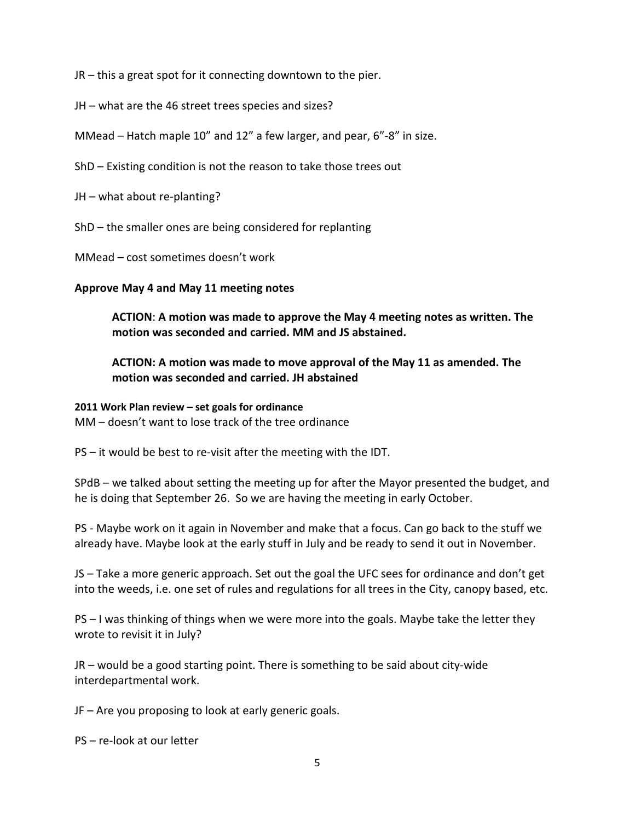JR – this a great spot for it connecting downtown to the pier.

- JH what are the 46 street trees species and sizes?
- MMead Hatch maple 10" and 12" a few larger, and pear, 6"-8" in size.
- ShD Existing condition is not the reason to take those trees out
- JH what about re-planting?
- ShD the smaller ones are being considered for replanting
- MMead cost sometimes doesn't work

## **Approve May 4 and May 11 meeting notes**

**ACTION**: **A motion was made to approve the May 4 meeting notes as written. The motion was seconded and carried. MM and JS abstained.**

# **ACTION: A motion was made to move approval of the May 11 as amended. The motion was seconded and carried. JH abstained**

## **2011 Work Plan review – set goals for ordinance**

MM – doesn't want to lose track of the tree ordinance

PS – it would be best to re-visit after the meeting with the IDT.

SPdB – we talked about setting the meeting up for after the Mayor presented the budget, and he is doing that September 26. So we are having the meeting in early October.

PS - Maybe work on it again in November and make that a focus. Can go back to the stuff we already have. Maybe look at the early stuff in July and be ready to send it out in November.

JS – Take a more generic approach. Set out the goal the UFC sees for ordinance and don't get into the weeds, i.e. one set of rules and regulations for all trees in the City, canopy based, etc.

PS – I was thinking of things when we were more into the goals. Maybe take the letter they wrote to revisit it in July?

JR – would be a good starting point. There is something to be said about city-wide interdepartmental work.

JF – Are you proposing to look at early generic goals.

PS – re-look at our letter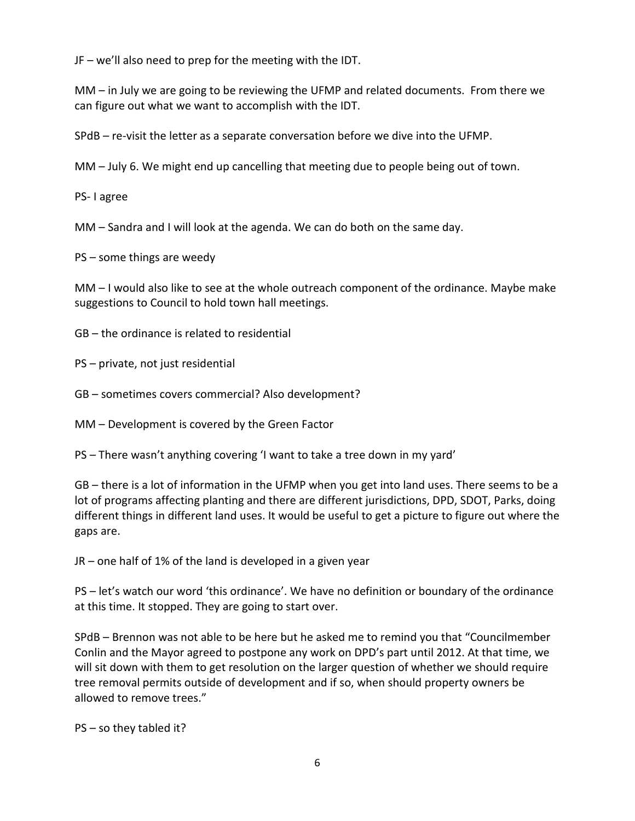JF – we'll also need to prep for the meeting with the IDT.

MM – in July we are going to be reviewing the UFMP and related documents. From there we can figure out what we want to accomplish with the IDT.

SPdB – re-visit the letter as a separate conversation before we dive into the UFMP.

MM – July 6. We might end up cancelling that meeting due to people being out of town.

PS- I agree

MM – Sandra and I will look at the agenda. We can do both on the same day.

PS – some things are weedy

MM – I would also like to see at the whole outreach component of the ordinance. Maybe make suggestions to Council to hold town hall meetings.

GB – the ordinance is related to residential

PS – private, not just residential

GB – sometimes covers commercial? Also development?

MM – Development is covered by the Green Factor

PS – There wasn't anything covering 'I want to take a tree down in my yard'

GB – there is a lot of information in the UFMP when you get into land uses. There seems to be a lot of programs affecting planting and there are different jurisdictions, DPD, SDOT, Parks, doing different things in different land uses. It would be useful to get a picture to figure out where the gaps are.

JR – one half of 1% of the land is developed in a given year

PS – let's watch our word 'this ordinance'. We have no definition or boundary of the ordinance at this time. It stopped. They are going to start over.

SPdB – Brennon was not able to be here but he asked me to remind you that "Councilmember Conlin and the Mayor agreed to postpone any work on DPD's part until 2012. At that time, we will sit down with them to get resolution on the larger question of whether we should require tree removal permits outside of development and if so, when should property owners be allowed to remove trees."

PS – so they tabled it?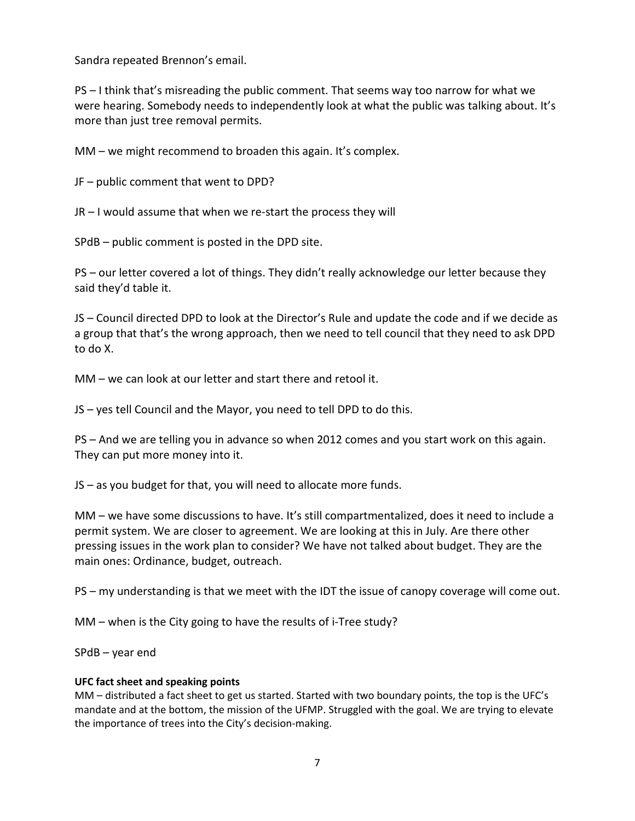Sandra repeated Brennon's email.

PS – I think that's misreading the public comment. That seems way too narrow for what we were hearing. Somebody needs to independently look at what the public was talking about. It's more than just tree removal permits.

MM – we might recommend to broaden this again. It's complex.

JF – public comment that went to DPD?

JR – I would assume that when we re-start the process they will

SPdB – public comment is posted in the DPD site.

PS – our letter covered a lot of things. They didn't really acknowledge our letter because they said they'd table it.

JS – Council directed DPD to look at the Director's Rule and update the code and if we decide as a group that that's the wrong approach, then we need to tell council that they need to ask DPD to do X.

MM – we can look at our letter and start there and retool it.

JS – yes tell Council and the Mayor, you need to tell DPD to do this.

PS – And we are telling you in advance so when 2012 comes and you start work on this again. They can put more money into it.

JS – as you budget for that, you will need to allocate more funds.

MM – we have some discussions to have. It's still compartmentalized, does it need to include a permit system. We are closer to agreement. We are looking at this in July. Are there other pressing issues in the work plan to consider? We have not talked about budget. They are the main ones: Ordinance, budget, outreach.

PS – my understanding is that we meet with the IDT the issue of canopy coverage will come out.

MM – when is the City going to have the results of i-Tree study?

SPdB – year end

#### **UFC fact sheet and speaking points**

MM – distributed a fact sheet to get us started. Started with two boundary points, the top is the UFC's mandate and at the bottom, the mission of the UFMP. Struggled with the goal. We are trying to elevate the importance of trees into the City's decision-making.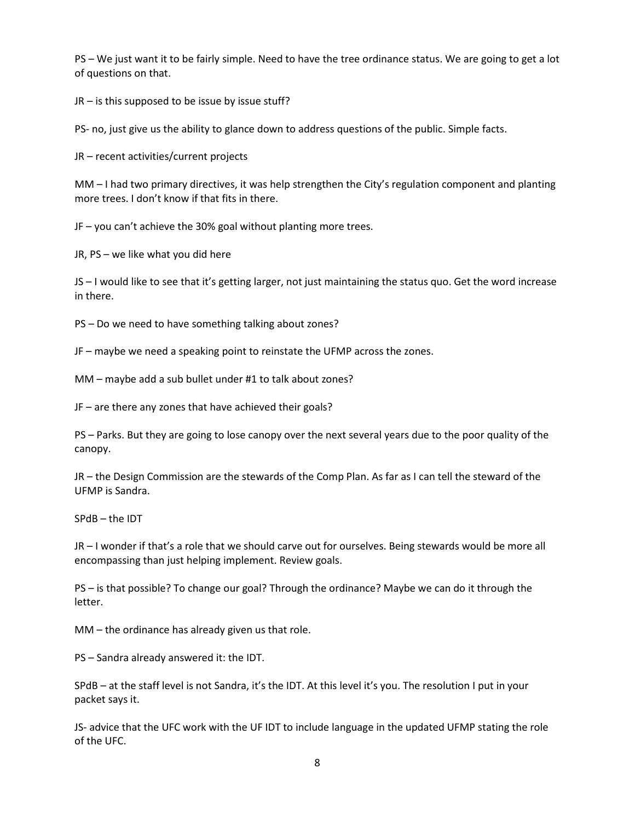PS – We just want it to be fairly simple. Need to have the tree ordinance status. We are going to get a lot of questions on that.

JR – is this supposed to be issue by issue stuff?

PS- no, just give us the ability to glance down to address questions of the public. Simple facts.

JR – recent activities/current projects

MM – I had two primary directives, it was help strengthen the City's regulation component and planting more trees. I don't know if that fits in there.

JF – you can't achieve the 30% goal without planting more trees.

JR, PS – we like what you did here

JS – I would like to see that it's getting larger, not just maintaining the status quo. Get the word increase in there.

PS – Do we need to have something talking about zones?

JF – maybe we need a speaking point to reinstate the UFMP across the zones.

MM – maybe add a sub bullet under #1 to talk about zones?

JF – are there any zones that have achieved their goals?

PS – Parks. But they are going to lose canopy over the next several years due to the poor quality of the canopy.

JR – the Design Commission are the stewards of the Comp Plan. As far as I can tell the steward of the UFMP is Sandra.

SPdB – the IDT

JR – I wonder if that's a role that we should carve out for ourselves. Being stewards would be more all encompassing than just helping implement. Review goals.

PS – is that possible? To change our goal? Through the ordinance? Maybe we can do it through the letter.

MM – the ordinance has already given us that role.

PS – Sandra already answered it: the IDT.

SPdB – at the staff level is not Sandra, it's the IDT. At this level it's you. The resolution I put in your packet says it.

JS- advice that the UFC work with the UF IDT to include language in the updated UFMP stating the role of the UFC.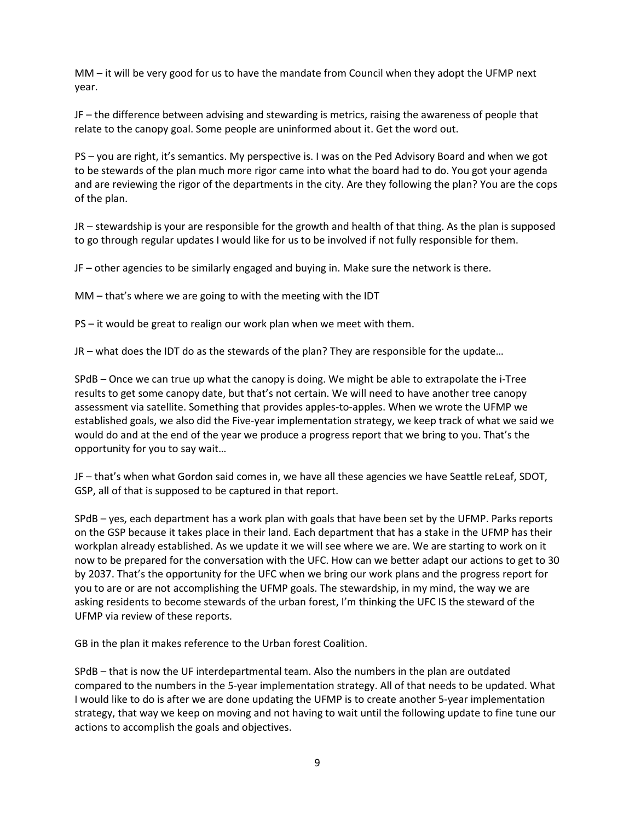MM – it will be very good for us to have the mandate from Council when they adopt the UFMP next year.

JF – the difference between advising and stewarding is metrics, raising the awareness of people that relate to the canopy goal. Some people are uninformed about it. Get the word out.

PS – you are right, it's semantics. My perspective is. I was on the Ped Advisory Board and when we got to be stewards of the plan much more rigor came into what the board had to do. You got your agenda and are reviewing the rigor of the departments in the city. Are they following the plan? You are the cops of the plan.

JR – stewardship is your are responsible for the growth and health of that thing. As the plan is supposed to go through regular updates I would like for us to be involved if not fully responsible for them.

JF – other agencies to be similarly engaged and buying in. Make sure the network is there.

MM – that's where we are going to with the meeting with the IDT

PS – it would be great to realign our work plan when we meet with them.

JR – what does the IDT do as the stewards of the plan? They are responsible for the update…

SPdB – Once we can true up what the canopy is doing. We might be able to extrapolate the i-Tree results to get some canopy date, but that's not certain. We will need to have another tree canopy assessment via satellite. Something that provides apples-to-apples. When we wrote the UFMP we established goals, we also did the Five-year implementation strategy, we keep track of what we said we would do and at the end of the year we produce a progress report that we bring to you. That's the opportunity for you to say wait…

JF – that's when what Gordon said comes in, we have all these agencies we have Seattle reLeaf, SDOT, GSP, all of that is supposed to be captured in that report.

SPdB – yes, each department has a work plan with goals that have been set by the UFMP. Parks reports on the GSP because it takes place in their land. Each department that has a stake in the UFMP has their workplan already established. As we update it we will see where we are. We are starting to work on it now to be prepared for the conversation with the UFC. How can we better adapt our actions to get to 30 by 2037. That's the opportunity for the UFC when we bring our work plans and the progress report for you to are or are not accomplishing the UFMP goals. The stewardship, in my mind, the way we are asking residents to become stewards of the urban forest, I'm thinking the UFC IS the steward of the UFMP via review of these reports.

GB in the plan it makes reference to the Urban forest Coalition.

SPdB – that is now the UF interdepartmental team. Also the numbers in the plan are outdated compared to the numbers in the 5-year implementation strategy. All of that needs to be updated. What I would like to do is after we are done updating the UFMP is to create another 5-year implementation strategy, that way we keep on moving and not having to wait until the following update to fine tune our actions to accomplish the goals and objectives.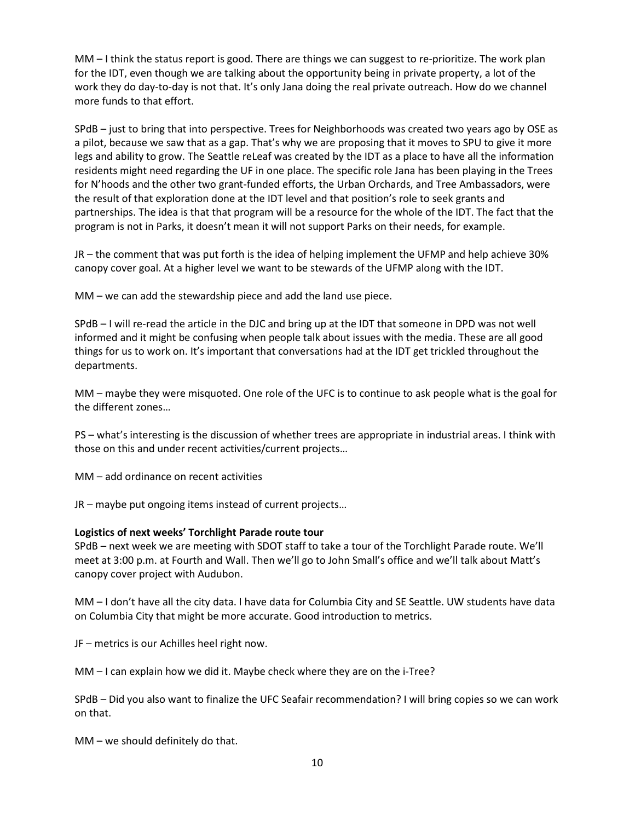MM – I think the status report is good. There are things we can suggest to re-prioritize. The work plan for the IDT, even though we are talking about the opportunity being in private property, a lot of the work they do day-to-day is not that. It's only Jana doing the real private outreach. How do we channel more funds to that effort.

SPdB – just to bring that into perspective. Trees for Neighborhoods was created two years ago by OSE as a pilot, because we saw that as a gap. That's why we are proposing that it moves to SPU to give it more legs and ability to grow. The Seattle reLeaf was created by the IDT as a place to have all the information residents might need regarding the UF in one place. The specific role Jana has been playing in the Trees for N'hoods and the other two grant-funded efforts, the Urban Orchards, and Tree Ambassadors, were the result of that exploration done at the IDT level and that position's role to seek grants and partnerships. The idea is that that program will be a resource for the whole of the IDT. The fact that the program is not in Parks, it doesn't mean it will not support Parks on their needs, for example.

JR – the comment that was put forth is the idea of helping implement the UFMP and help achieve 30% canopy cover goal. At a higher level we want to be stewards of the UFMP along with the IDT.

MM – we can add the stewardship piece and add the land use piece.

SPdB – I will re-read the article in the DJC and bring up at the IDT that someone in DPD was not well informed and it might be confusing when people talk about issues with the media. These are all good things for us to work on. It's important that conversations had at the IDT get trickled throughout the departments.

MM – maybe they were misquoted. One role of the UFC is to continue to ask people what is the goal for the different zones…

PS – what's interesting is the discussion of whether trees are appropriate in industrial areas. I think with those on this and under recent activities/current projects…

MM – add ordinance on recent activities

JR – maybe put ongoing items instead of current projects…

#### **Logistics of next weeks' Torchlight Parade route tour**

SPdB – next week we are meeting with SDOT staff to take a tour of the Torchlight Parade route. We'll meet at 3:00 p.m. at Fourth and Wall. Then we'll go to John Small's office and we'll talk about Matt's canopy cover project with Audubon.

MM – I don't have all the city data. I have data for Columbia City and SE Seattle. UW students have data on Columbia City that might be more accurate. Good introduction to metrics.

JF – metrics is our Achilles heel right now.

MM – I can explain how we did it. Maybe check where they are on the i-Tree?

SPdB – Did you also want to finalize the UFC Seafair recommendation? I will bring copies so we can work on that.

MM – we should definitely do that.